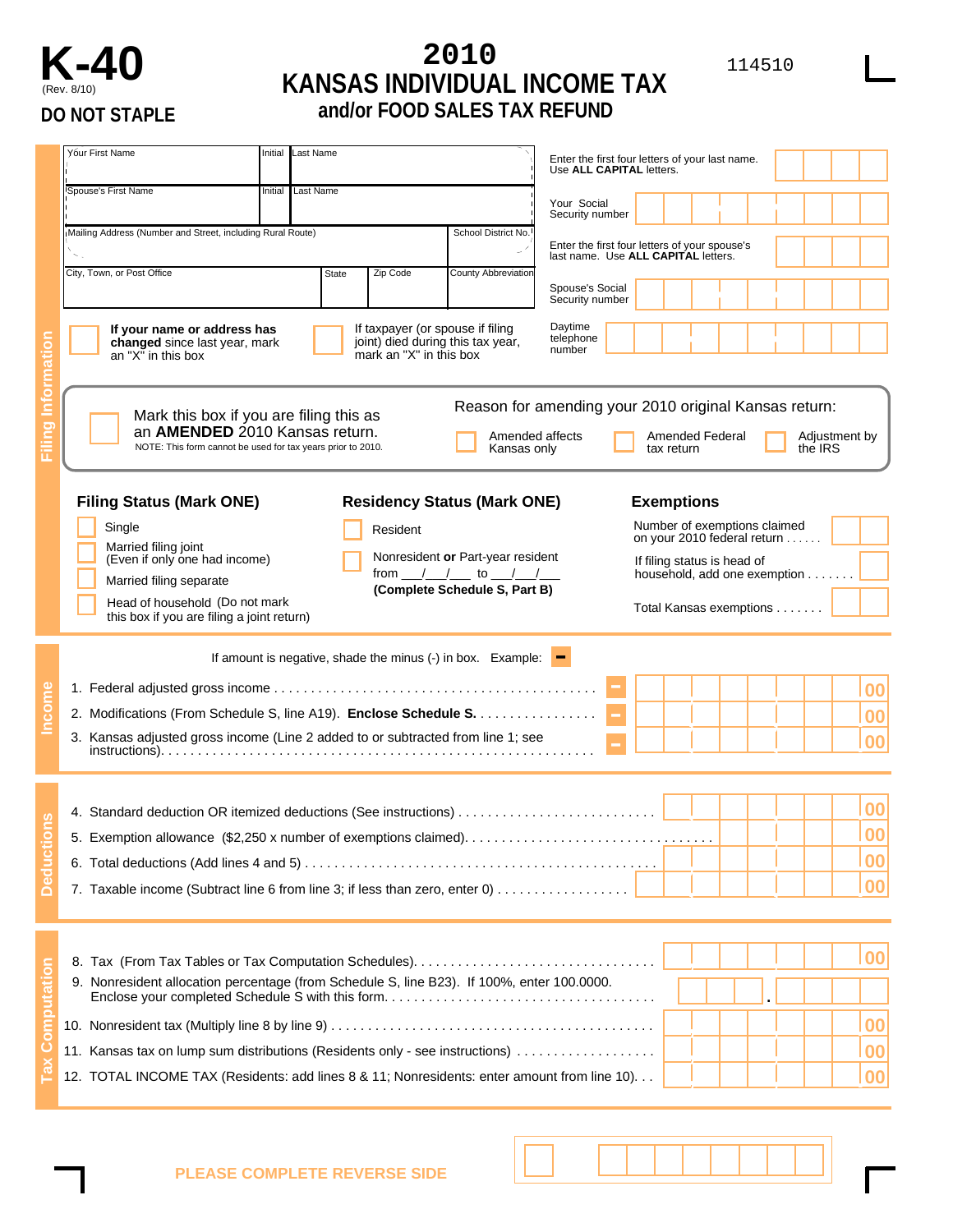## **K-40 <sup>2010</sup>** <sup>114510</sup> (Rev. 8/10) **KANSAS INDIVIDUAL INCOME TAX DO NOT STAPLE and/or FOOD SALES TAX REFUND**

|   | Yóur First Name                                                                                                                                                                                                                                                                                  | Initial                                                                          | Last Name                                                                                        |                                |                                    | Enter the first four letters of your last name.<br>Use ALL CAPITAL letters. |    |                   |  |    |  |  |  |
|---|--------------------------------------------------------------------------------------------------------------------------------------------------------------------------------------------------------------------------------------------------------------------------------------------------|----------------------------------------------------------------------------------|--------------------------------------------------------------------------------------------------|--------------------------------|------------------------------------|-----------------------------------------------------------------------------|----|-------------------|--|----|--|--|--|
|   | Spouse's First Name                                                                                                                                                                                                                                                                              | Initial                                                                          | Last Name                                                                                        |                                |                                    | Your Social<br>Security number                                              |    |                   |  |    |  |  |  |
|   | Mailing Address (Number and Street, including Rural Route)                                                                                                                                                                                                                                       |                                                                                  |                                                                                                  |                                |                                    |                                                                             |    |                   |  |    |  |  |  |
|   |                                                                                                                                                                                                                                                                                                  |                                                                                  | Enter the first four letters of your spouse's<br>last name. Use ALL CAPITAL letters.             |                                |                                    |                                                                             |    |                   |  |    |  |  |  |
|   | City, Town, or Post Office                                                                                                                                                                                                                                                                       | State                                                                            | Zip Code                                                                                         | <b>County Abbreviation</b>     | Spouse's Social<br>Security number |                                                                             |    |                   |  |    |  |  |  |
|   | If your name or address has<br>changed since last year, mark<br>an "X" in this box                                                                                                                                                                                                               |                                                                                  | If taxpayer (or spouse if filing<br>joint) died during this tax year,<br>mark an "X" in this box | Daytime<br>telephone<br>number |                                    |                                                                             |    |                   |  |    |  |  |  |
|   |                                                                                                                                                                                                                                                                                                  |                                                                                  |                                                                                                  |                                |                                    |                                                                             |    |                   |  |    |  |  |  |
|   | Reason for amending your 2010 original Kansas return:<br>Mark this box if you are filing this as<br>an AMENDED 2010 Kansas return.<br>Amended affects<br>Amended Federal<br>Adjustment by<br>NOTE: This form cannot be used for tax years prior to 2010.<br>the IRS<br>Kansas only<br>tax return |                                                                                  |                                                                                                  |                                |                                    |                                                                             |    |                   |  |    |  |  |  |
|   |                                                                                                                                                                                                                                                                                                  | <b>Filing Status (Mark ONE)</b><br><b>Residency Status (Mark ONE)</b>            |                                                                                                  |                                |                                    |                                                                             |    | <b>Exemptions</b> |  |    |  |  |  |
|   | Single                                                                                                                                                                                                                                                                                           |                                                                                  |                                                                                                  | Number of exemptions claimed   |                                    |                                                                             |    |                   |  |    |  |  |  |
|   | Married filing joint<br>(Even if only one had income)                                                                                                                                                                                                                                            | Nonresident or Part-year resident<br>from ___/___/_____ to ___/___/____          | on your 2010 federal return<br>If filing status is head of<br>household, add one exemption       |                                |                                    |                                                                             |    |                   |  |    |  |  |  |
|   | Married filing separate<br>Head of household (Do not mark<br>this box if you are filing a joint return)                                                                                                                                                                                          | (Complete Schedule S, Part B)                                                    | Total Kansas exemptions                                                                          |                                |                                    |                                                                             |    |                   |  |    |  |  |  |
|   |                                                                                                                                                                                                                                                                                                  |                                                                                  |                                                                                                  |                                |                                    |                                                                             |    |                   |  |    |  |  |  |
|   |                                                                                                                                                                                                                                                                                                  | If amount is negative, shade the minus $(\cdot)$ in box. Example: $\blacksquare$ |                                                                                                  |                                |                                    |                                                                             |    |                   |  |    |  |  |  |
|   |                                                                                                                                                                                                                                                                                                  |                                                                                  |                                                                                                  |                                |                                    | 00                                                                          |    |                   |  |    |  |  |  |
|   | 2. Modifications (From Schedule S, line A19). Enclose Schedule S.                                                                                                                                                                                                                                |                                                                                  |                                                                                                  |                                |                                    |                                                                             |    |                   |  | 00 |  |  |  |
|   | 3. Kansas adjusted gross income (Line 2 added to or subtracted from line 1; see                                                                                                                                                                                                                  |                                                                                  |                                                                                                  |                                |                                    |                                                                             |    |                   |  |    |  |  |  |
|   |                                                                                                                                                                                                                                                                                                  |                                                                                  |                                                                                                  |                                |                                    | 00                                                                          |    |                   |  |    |  |  |  |
|   |                                                                                                                                                                                                                                                                                                  |                                                                                  |                                                                                                  |                                |                                    |                                                                             |    |                   |  |    |  |  |  |
|   | 4. Standard deduction OR itemized deductions (See instructions)                                                                                                                                                                                                                                  |                                                                                  |                                                                                                  |                                |                                    | 00                                                                          |    |                   |  |    |  |  |  |
|   |                                                                                                                                                                                                                                                                                                  |                                                                                  |                                                                                                  |                                |                                    |                                                                             |    | 00                |  |    |  |  |  |
|   |                                                                                                                                                                                                                                                                                                  |                                                                                  |                                                                                                  |                                |                                    |                                                                             | 00 |                   |  |    |  |  |  |
| ğ | 7. Taxable income (Subtract line 6 from line 3; if less than zero, enter 0)                                                                                                                                                                                                                      |                                                                                  |                                                                                                  |                                |                                    |                                                                             |    |                   |  | 00 |  |  |  |
|   |                                                                                                                                                                                                                                                                                                  |                                                                                  |                                                                                                  |                                |                                    |                                                                             |    |                   |  |    |  |  |  |
|   |                                                                                                                                                                                                                                                                                                  |                                                                                  |                                                                                                  |                                |                                    |                                                                             |    |                   |  |    |  |  |  |
|   | 8. Tax (From Tax Tables or Tax Computation Schedules)                                                                                                                                                                                                                                            |                                                                                  |                                                                                                  |                                |                                    |                                                                             |    | 00                |  |    |  |  |  |
|   | 9. Nonresident allocation percentage (from Schedule S, line B23). If 100%, enter 100.0000.                                                                                                                                                                                                       |                                                                                  |                                                                                                  |                                |                                    |                                                                             |    |                   |  |    |  |  |  |
|   |                                                                                                                                                                                                                                                                                                  |                                                                                  |                                                                                                  |                                |                                    |                                                                             |    | 00                |  |    |  |  |  |
|   | 11. Kansas tax on lump sum distributions (Residents only - see instructions)                                                                                                                                                                                                                     |                                                                                  |                                                                                                  |                                |                                    |                                                                             |    | 00                |  |    |  |  |  |
|   | 12. TOTAL INCOME TAX (Residents: add lines 8 & 11; Nonresidents: enter amount from line 10).                                                                                                                                                                                                     |                                                                                  |                                                                                                  |                                |                                    |                                                                             |    |                   |  | 00 |  |  |  |
|   |                                                                                                                                                                                                                                                                                                  |                                                                                  |                                                                                                  |                                |                                    |                                                                             |    |                   |  |    |  |  |  |